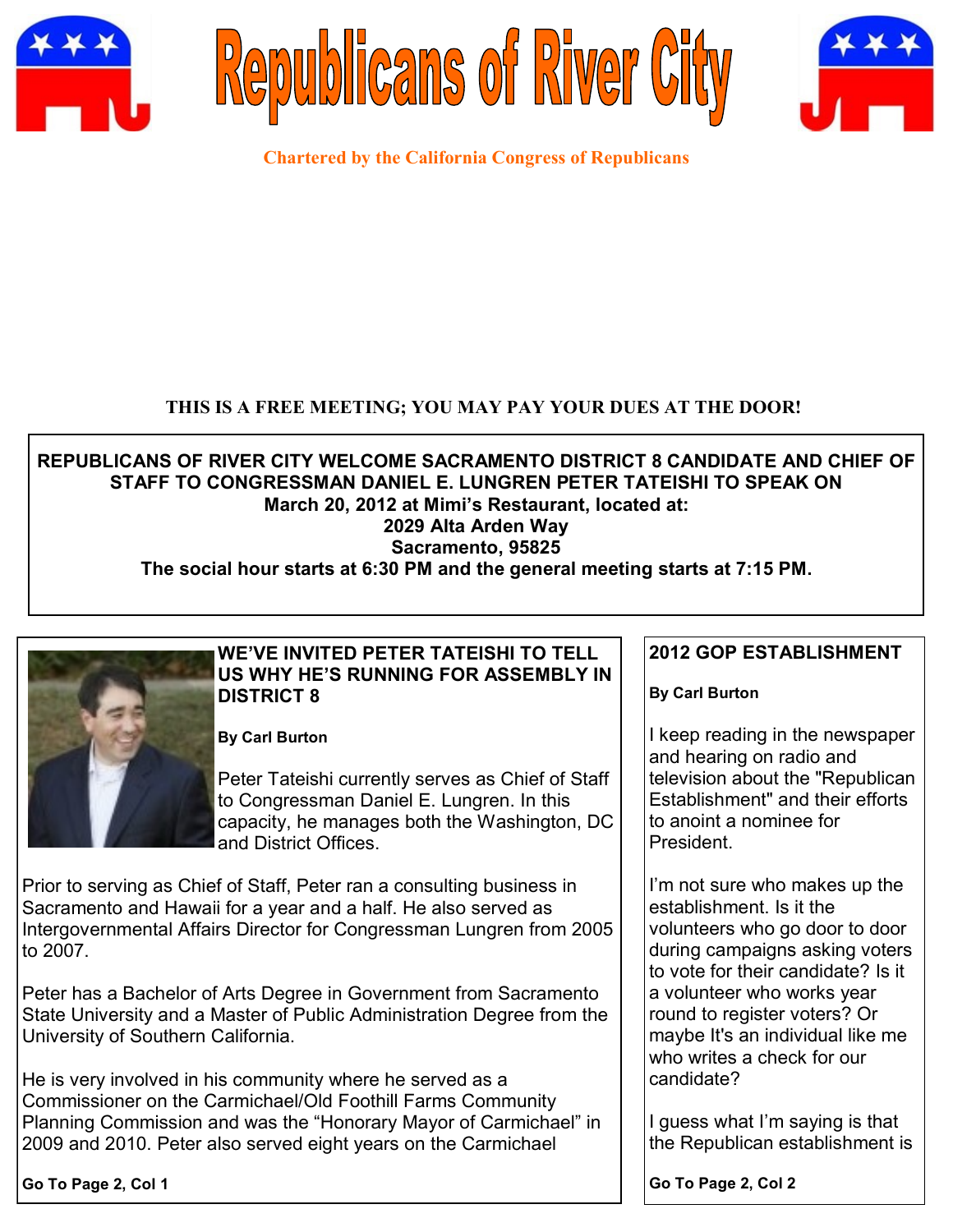





**Chartered by the California Congress of Republicans**

## **THIS IS A FREE MEETING; YOU MAY PAY YOUR DUES AT THE DOOR!**

**REPUBLICANS OF RIVER CITY WELCOME SACRAMENTO DISTRICT 8 CANDIDATE AND CHIEF OF STAFF TO CONGRESSMAN DANIEL E. LUNGREN PETER TATEISHI TO SPEAK ON March 20, 2012 at Mimi's Restaurant, located at: 2029 Alta Arden Way Sacramento, 95825 The social hour starts at 6:30 PM and the general meeting starts at 7:15 PM.**



# **WE'VE INVITED PETER TATEISHI TO TELL US WHY HE'S RUNNING FOR ASSEMBLY IN DISTRICT 8**

**By Carl Burton**

Peter Tateishi currently serves as Chief of Staff to Congressman Daniel E. Lungren. In this capacity, he manages both the Washington, DC and District Offices.

Prior to serving as Chief of Staff, Peter ran a consulting business in Sacramento and Hawaii for a year and a half. He also served as Intergovernmental Affairs Director for Congressman Lungren from 2005 to 2007.

Peter has a Bachelor of Arts Degree in Government from Sacramento State University and a Master of Public Administration Degree from the University of Southern California.

He is very involved in his community where he served as a Commissioner on the Carmichael/Old Foothill Farms Community Planning Commission and was the "Honorary Mayor of Carmichael" in 2009 and 2010. Peter also served eight years on the Carmichael

**2012 GOP ESTABLISHMENT**

**By Carl Burton**

I keep reading in the newspaper and hearing on radio and television about the "Republican Establishment" and their efforts to anoint a nominee for President.

I'm not sure who makes up the establishment. Is it the volunteers who go door to door during campaigns asking voters to vote for their candidate? Is it a volunteer who works year round to register voters? Or maybe It's an individual like me who writes a check for our candidate?

I guess what I'm saying is that the Republican establishment is

**Go To Page 2, Col 1**

**Go To Page 2, Col 2**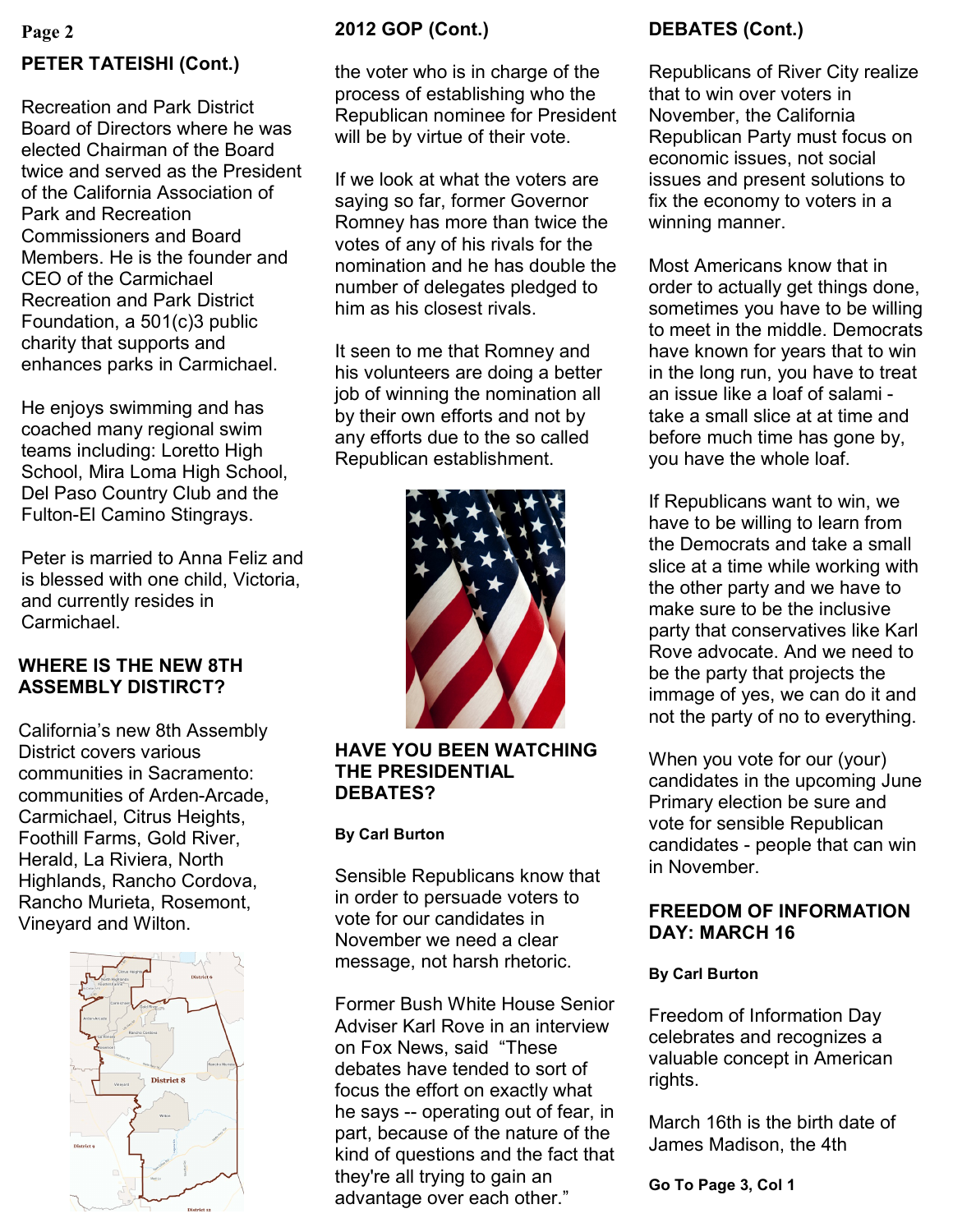# **Page 2 PETER TATEISHI (Cont.)**

Recreation and Park District Board of Directors where he was elected Chairman of the Board twice and served as the President of the California Association of Park and Recreation Commissioners and Board Members. He is the founder and CEO of the Carmichael Recreation and Park District Foundation, a 501(c)3 public charity that supports and enhances parks in Carmichael.

He enjoys swimming and has coached many regional swim teams including: Loretto High School, Mira Loma High School, Del Paso Country Club and the Fulton-El Camino Stingrays.

Peter is married to Anna Feliz and is blessed with one child, Victoria, and currently resides in Carmichael.

# **WHERE IS THE NEW 8TH ASSEMBLY DISTIRCT?**

California's new 8th Assembly District covers various communities in Sacramento: communities of Arden-Arcade, Carmichael, Citrus Heights, Foothill Farms, Gold River, Herald, La Riviera, North Highlands, Rancho Cordova, Rancho Murieta, Rosemont,



# **2012 GOP (Cont.)**

the voter who is in charge of the process of establishing who the Republican nominee for President will be by virtue of their vote.

If we look at what the voters are saying so far, former Governor Romney has more than twice the votes of any of his rivals for the nomination and he has double the number of delegates pledged to him as his closest rivals.

It seen to me that Romney and his volunteers are doing a better job of winning the nomination all by their own efforts and not by any efforts due to the so called Republican establishment.



**HAVE YOU BEEN WATCHING THE PRESIDENTIAL DEBATES?**

#### **By Carl Burton**

Sensible Republicans know that in order to persuade voters to vote for our candidates in November we need a clear message, not harsh rhetoric. Rafictio Murieta, Rosemont, **FREEDOM OF INFORMATION**<br>Vineyard and Wilton. **Example 2010** vote for our candidates in

> Former Bush White House Senior Adviser Karl Rove in an interview on Fox News, said "These debates have tended to sort of focus the effort on exactly what he says -- operating out of fear, in part, because of the nature of the kind of questions and the fact that they're all trying to gain an advantage over each other."

# **DEBATES (Cont.)**

Republicans of River City realize that to win over voters in November, the California Republican Party must focus on economic issues, not social issues and present solutions to fix the economy to voters in a winning manner.

Most Americans know that in order to actually get things done, sometimes you have to be willing to meet in the middle. Democrats have known for years that to win in the long run, you have to treat an issue like a loaf of salami take a small slice at at time and before much time has gone by, you have the whole loaf.

If Republicans want to win, we have to be willing to learn from the Democrats and take a small slice at a time while working with the other party and we have to make sure to be the inclusive party that conservatives like Karl Rove advocate. And we need to be the party that projects the immage of yes, we can do it and not the party of no to everything.

When you vote for our (your) candidates in the upcoming June Primary election be sure and vote for sensible Republican candidates - people that can win in November.

# **DAY: MARCH 16**

#### **By Carl Burton**

Freedom of Information Day celebrates and recognizes a valuable concept in American rights.

March 16th is the birth date of James Madison, the 4th

**Go To Page 3, Col 1**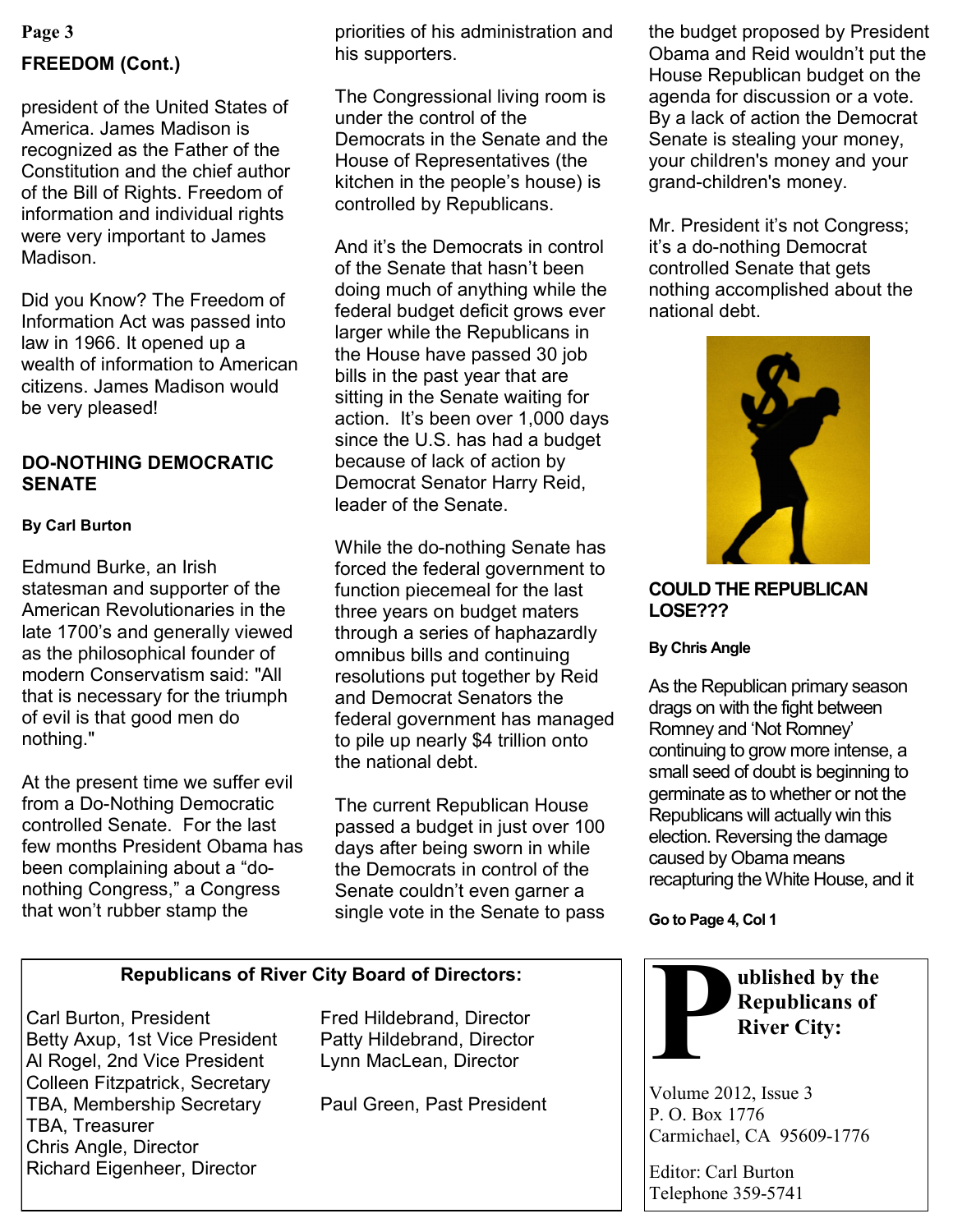# **Page 3 FREEDOM (Cont.)**

president of the United States of America. James Madison is recognized as the Father of the Constitution and the chief author of the Bill of Rights. Freedom of information and individual rights were very important to James Madison.

Did you Know? The Freedom of Information Act was passed into law in 1966. It opened up a wealth of information to American citizens. James Madison would be very pleased!

## **DO-NOTHING DEMOCRATIC SENATE**

#### **By Carl Burton**

Edmund Burke, an Irish statesman and supporter of the American Revolutionaries in the late 1700's and generally viewed as the philosophical founder of modern Conservatism said: "All that is necessary for the triumph of evil is that good men do nothing."

At the present time we suffer evil from a Do-Nothing Democratic controlled Senate. For the last few months President Obama has been complaining about a "donothing Congress," a Congress that won't rubber stamp the

priorities of his administration and his supporters.

The Congressional living room is under the control of the Democrats in the Senate and the House of Representatives (the kitchen in the people's house) is controlled by Republicans.

And it's the Democrats in control of the Senate that hasn't been doing much of anything while the federal budget deficit grows ever larger while the Republicans in the House have passed 30 job bills in the past year that are sitting in the Senate waiting for action. It's been over 1,000 days since the U.S. has had a budget because of lack of action by Democrat Senator Harry Reid, leader of the Senate.

While the do-nothing Senate has forced the federal government to function piecemeal for the last three years on budget maters through a series of haphazardly omnibus bills and continuing resolutions put together by Reid and Democrat Senators the federal government has managed to pile up nearly \$4 trillion onto the national debt.

The current Republican House passed a budget in just over 100 days after being sworn in while the Democrats in control of the Senate couldn't even garner a single vote in the Senate to pass

## **Republicans of River City Board of Directors:**

Carl Burton, President Fred Hildebrand, Director Betty Axup, 1st Vice President Patty Hildebrand, Director Al Rogel, 2nd Vice President Lynn MacLean, Director Colleen Fitzpatrick, Secretary TBA, Membership Secretary Paul Green, Past President TBA, Treasurer Chris Angle, Director Richard Eigenheer, Director

the budget proposed by President Obama and Reid wouldn't put the House Republican budget on the agenda for discussion or a vote. By a lack of action the Democrat Senate is stealing your money, your children's money and your grand-children's money.

Mr. President it's not Congress; it's a do-nothing Democrat controlled Senate that gets nothing accomplished about the national debt.



**COULD THE REPUBLICAN LOSE???**

#### **By Chris Angle**

As the Republican primary season drags on with the fight between Romney and 'Not Romney' continuing to grow more intense, a small seed of doubt is beginning to germinate as to whether or not the Republicans will actually win this election. Reversing the damage caused by Obama means recapturing the White House, and it

**Go to Page 4, Col 1**



Volume 2012, Issue 3 P. O. Box 1776 Carmichael, CA 95609-1776

Editor: Carl Burton Telephone 359-5741